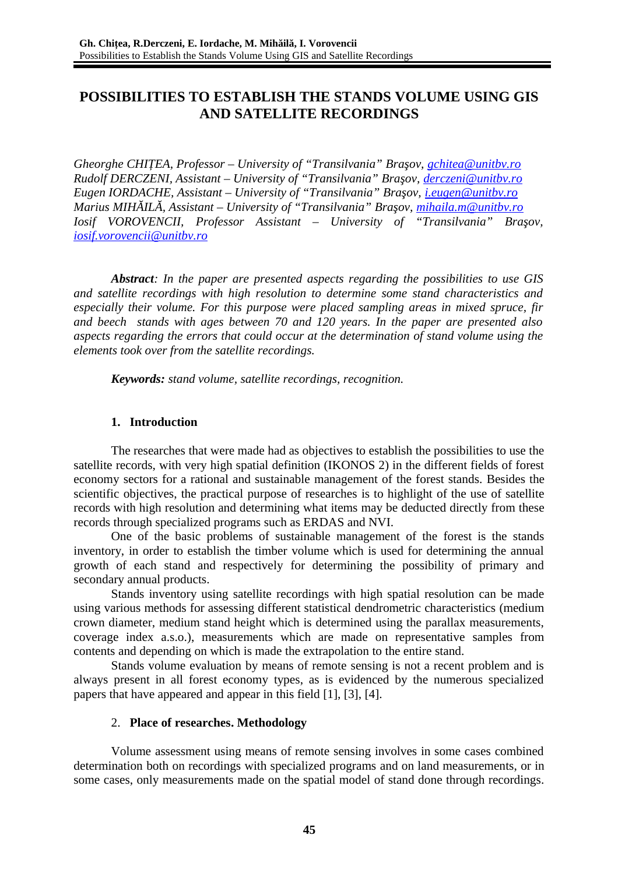# **POSSIBILITIES TO ESTABLISH THE STANDS VOLUME USING GIS AND SATELLITE RECORDINGS**

*Gheorghe CHIŢEA, Professor – University of "Transilvania" Braşov, [gchitea@unitbv.ro](mailto:gchitea@unitbv.ro) Rudolf DERCZENI, Assistant – University of "Transilvania" Braşov, [derczeni@unitbv.ro](mailto:derczeni@unitbv.ro) Eugen IORDACHE, Assistant – University of "Transilvania" Braşov, [i.eugen@unitbv.ro](mailto:i.eugen@unitbv.ro) Marius MIHĂILĂ, Assistant – University of "Transilvania" Braşov, [mihaila.m@unitbv.ro](mailto:mihaila.m@unitbv.ro) Iosif VOROVENCII, Professor Assistant – University of "Transilvania" Braşov, [iosif.vorovencii@unitbv.ro](mailto:iosif.vorovencii@unitbv.ro)*

*Abstract: In the paper are presented aspects regarding the possibilities to use GIS and satellite recordings with high resolution to determine some stand characteristics and especially their volume. For this purpose were placed sampling areas in mixed spruce, fir and beech stands with ages between 70 and 120 years. In the paper are presented also aspects regarding the errors that could occur at the determination of stand volume using the elements took over from the satellite recordings.*

*Keywords: stand volume, satellite recordings, recognition.*

# **1. Introduction**

The researches that were made had as objectives to establish the possibilities to use the satellite records, with very high spatial definition (IKONOS 2) in the different fields of forest economy sectors for a rational and sustainable management of the forest stands. Besides the scientific objectives, the practical purpose of researches is to highlight of the use of satellite records with high resolution and determining what items may be deducted directly from these records through specialized programs such as ERDAS and NVI.

One of the basic problems of sustainable management of the forest is the stands inventory, in order to establish the timber volume which is used for determining the annual growth of each stand and respectively for determining the possibility of primary and secondary annual products.

Stands inventory using satellite recordings with high spatial resolution can be made using various methods for assessing different statistical dendrometric characteristics (medium crown diameter, medium stand height which is determined using the parallax measurements, coverage index a.s.o.), measurements which are made on representative samples from contents and depending on which is made the extrapolation to the entire stand.

Stands volume evaluation by means of remote sensing is not a recent problem and is always present in all forest economy types, as is evidenced by the numerous specialized papers that have appeared and appear in this field [1], [3], [4].

# 2. **Place of researches. Methodology**

Volume assessment using means of remote sensing involves in some cases combined determination both on recordings with specialized programs and on land measurements, or in some cases, only measurements made on the spatial model of stand done through recordings.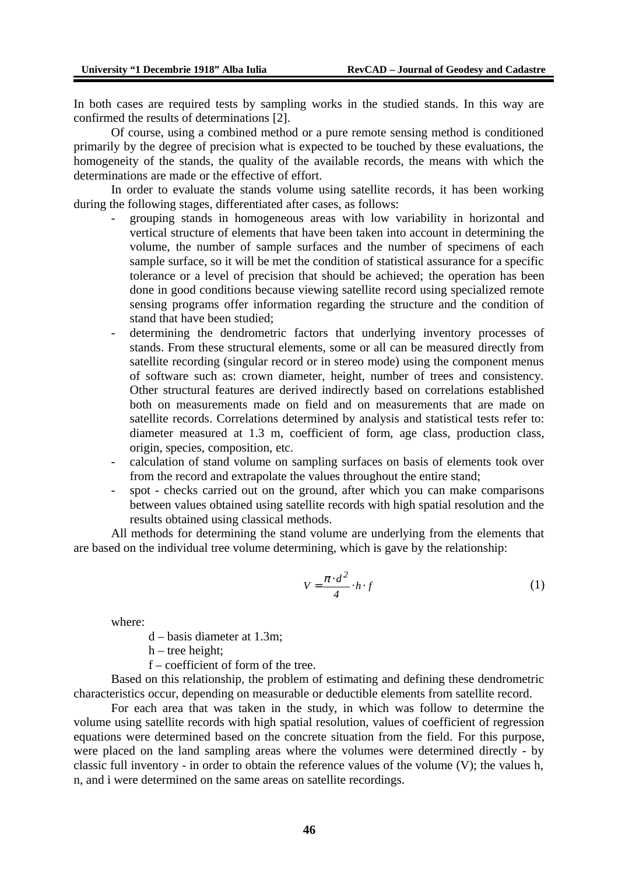In both cases are required tests by sampling works in the studied stands. In this way are confirmed the results of determinations [2].

Of course, using a combined method or a pure remote sensing method is conditioned primarily by the degree of precision what is expected to be touched by these evaluations, the homogeneity of the stands, the quality of the available records, the means with which the determinations are made or the effective of effort.

In order to evaluate the stands volume using satellite records, it has been working during the following stages, differentiated after cases, as follows:

- grouping stands in homogeneous areas with low variability in horizontal and vertical structure of elements that have been taken into account in determining the volume, the number of sample surfaces and the number of specimens of each sample surface, so it will be met the condition of statistical assurance for a specific tolerance or a level of precision that should be achieved; the operation has been done in good conditions because viewing satellite record using specialized remote sensing programs offer information regarding the structure and the condition of stand that have been studied;
- determining the dendrometric factors that underlying inventory processes of stands. From these structural elements, some or all can be measured directly from satellite recording (singular record or in stereo mode) using the component menus of software such as: crown diameter, height, number of trees and consistency. Other structural features are derived indirectly based on correlations established both on measurements made on field and on measurements that are made on satellite records. Correlations determined by analysis and statistical tests refer to: diameter measured at 1.3 m, coefficient of form, age class, production class, origin, species, composition, etc.
- calculation of stand volume on sampling surfaces on basis of elements took over from the record and extrapolate the values throughout the entire stand;
- spot checks carried out on the ground, after which you can make comparisons between values obtained using satellite records with high spatial resolution and the results obtained using classical methods.

All methods for determining the stand volume are underlying from the elements that are based on the individual tree volume determining, which is gave by the relationship:

$$
V = \frac{\pi \cdot d^2}{4} \cdot h \cdot f \tag{1}
$$

where:

d – basis diameter at 1.3m;

- h tree height;
- f coefficient of form of the tree.

Based on this relationship, the problem of estimating and defining these dendrometric characteristics occur, depending on measurable or deductible elements from satellite record.

For each area that was taken in the study, in which was follow to determine the volume using satellite records with high spatial resolution, values of coefficient of regression equations were determined based on the concrete situation from the field. For this purpose, were placed on the land sampling areas where the volumes were determined directly - by classic full inventory - in order to obtain the reference values of the volume (V); the values h, n, and i were determined on the same areas on satellite recordings.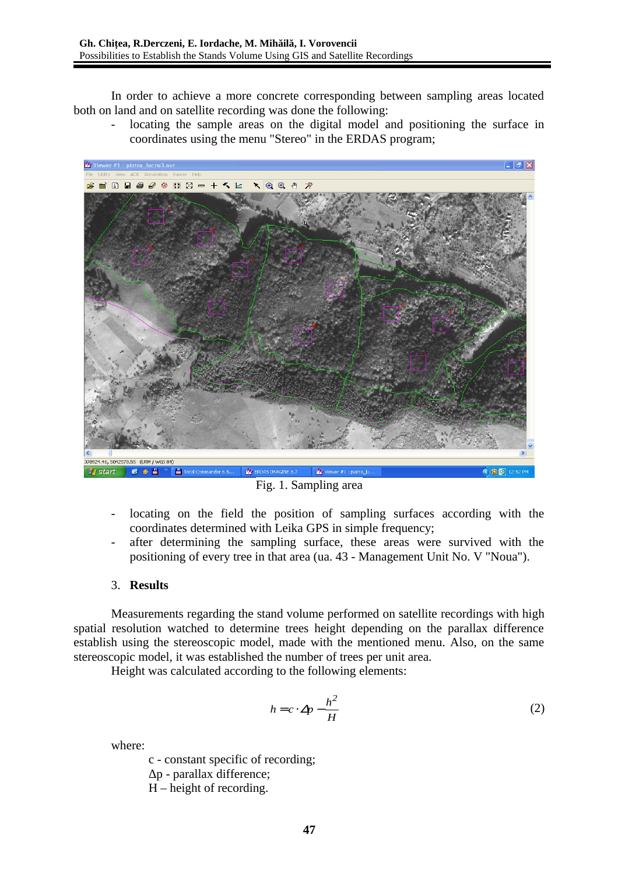In order to achieve a more concrete corresponding between sampling areas located both on land and on satellite recording was done the following:

locating the sample areas on the digital model and positioning the surface in coordinates using the menu "Stereo" in the ERDAS program;



Fig. 1. Sampling area

- locating on the field the position of sampling surfaces according with the coordinates determined with Leika GPS in simple frequency;
- after determining the sampling surface, these areas were survived with the positioning of every tree in that area (ua. 43 - Management Unit No. V "Noua").

### 3. **Results**

Measurements regarding the stand volume performed on satellite recordings with high spatial resolution watched to determine trees height depending on the parallax difference establish using the stereoscopic model, made with the mentioned menu. Also, on the same stereoscopic model, it was established the number of trees per unit area.

Height was calculated according to the following elements:

$$
h = c \cdot \Delta p - \frac{h^2}{H} \tag{2}
$$

where:

c - constant specific of recording;

Δp - parallax difference;

H – height of recording.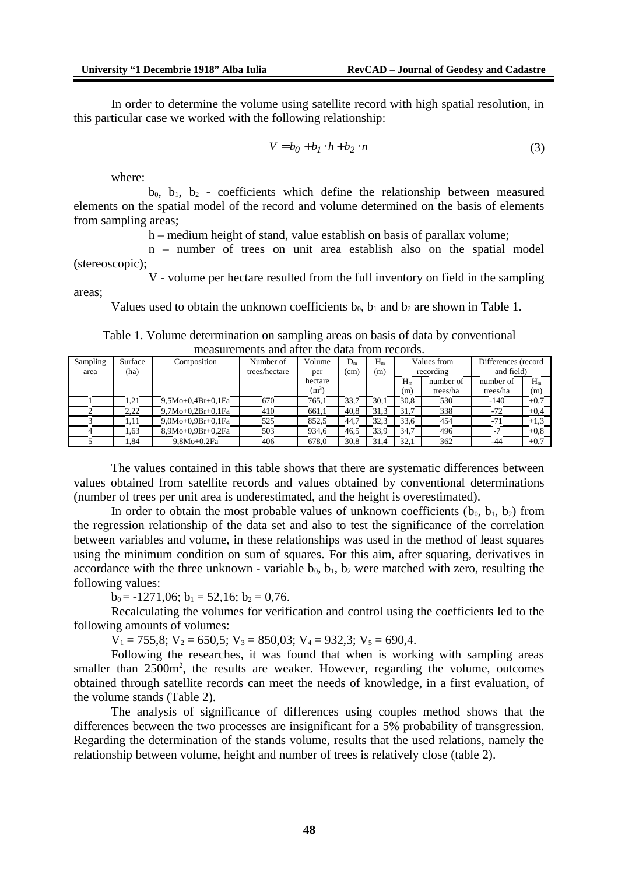In order to determine the volume using satellite record with high spatial resolution, in this particular case we worked with the following relationship:

$$
V = b_0 + b_1 \cdot h + b_2 \cdot n \tag{3}
$$

where:

 $b_0$ ,  $b_1$ ,  $b_2$  - coefficients which define the relationship between measured elements on the spatial model of the record and volume determined on the basis of elements from sampling areas;

h – medium height of stand, value establish on basis of parallax volume;

n – number of trees on unit area establish also on the spatial model (stereoscopic);

V - volume per hectare resulted from the full inventory on field in the sampling areas;

Values used to obtain the unknown coefficients  $b_0$ ,  $b_1$  and  $b_2$  are shown in Table 1.

Table 1. Volume determination on sampling areas on basis of data by conventional measurements and after the data from records.

| Sampling | Surface | Composition         | Number of     | Volume      | $D_m$ | $H_m$ | Values from |           | Differences (record |        |
|----------|---------|---------------------|---------------|-------------|-------|-------|-------------|-----------|---------------------|--------|
| area     | (ha)    |                     | trees/hectare | per         | (cm)  | (m)   | recording   |           | and field)          |        |
|          |         |                     |               | hectare     |       |       | $H_m$       | number of | number of           | $H_m$  |
|          |         |                     |               | $\rm (m^3)$ |       |       | (m)         | trees/ha  | trees/ha            | (m)    |
|          | 1,21    | $9,5Mo+0,4Br+0,1Fa$ | 670           | 765,1       | 33,7  | 30,1  | 30,8        | 530       | $-140$              | $+0.7$ |
|          | 2.22    | 9,7Mo+0,2Br+0,1Fa   | 410           | 661.1       | 40,8  | 31,3  | 31,7        | 338       | $-72$               | $+0.4$ |
|          | 1,11    | 9,0Mo+0,9Br+0,1Fa   | 525           | 852.5       | 44.7  | 32,3  | 33.6        | 454       | $-71$               | $+1,3$ |
|          | 1,63    | 8,9Mo+0,9Br+0,2Fa   | 503           | 934.6       | 46,5  | 33,9  | 34,7        | 496       | $-7$                | $+0.8$ |
|          | L,84    | $9,8Mo+0,2Fa$       | 406           | 678,0       | 30,8  | 31,4  | 32,1        | 362       | $-44$               | $+0,7$ |

The values contained in this table shows that there are systematic differences between values obtained from satellite records and values obtained by conventional determinations (number of trees per unit area is underestimated, and the height is overestimated).

In order to obtain the most probable values of unknown coefficients  $(b_0, b_1, b_2)$  from the regression relationship of the data set and also to test the significance of the correlation between variables and volume, in these relationships was used in the method of least squares using the minimum condition on sum of squares. For this aim, after squaring, derivatives in accordance with the three unknown - variable  $b_0$ ,  $b_1$ ,  $b_2$  were matched with zero, resulting the following values:

 $b_0$  = -1271,06;  $b_1$  = 52,16;  $b_2$  = 0,76.

Recalculating the volumes for verification and control using the coefficients led to the following amounts of volumes:

 $V_1$  = 755,8;  $V_2$  = 650,5;  $V_3$  = 850,03;  $V_4$  = 932,3;  $V_5$  = 690,4.

Following the researches, it was found that when is working with sampling areas smaller than  $2500m^2$ , the results are weaker. However, regarding the volume, outcomes obtained through satellite records can meet the needs of knowledge, in a first evaluation, of the volume stands (Table 2).

The analysis of significance of differences using couples method shows that the differences between the two processes are insignificant for a 5% probability of transgression. Regarding the determination of the stands volume, results that the used relations, namely the relationship between volume, height and number of trees is relatively close (table 2).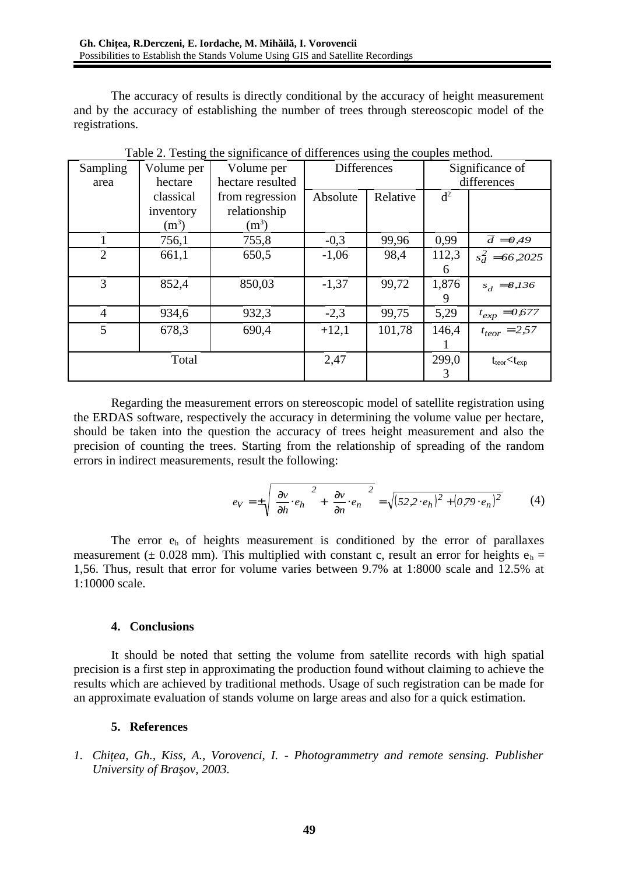The accuracy of results is directly conditional by the accuracy of height measurement and by the accuracy of establishing the number of trees through stereoscopic model of the registrations.

| Sampling<br>Volume per |           | resump are significantee or aniferent<br>Volume per | <b>Differences</b> |          | Significance of |                          |
|------------------------|-----------|-----------------------------------------------------|--------------------|----------|-----------------|--------------------------|
| area                   | hectare   | hectare resulted                                    |                    |          | differences     |                          |
|                        | classical | from regression                                     | Absolute           | Relative | $d^2$           |                          |
|                        | inventory | relationship                                        |                    |          |                 |                          |
|                        | $(m^3)$   | $(m^3)$                                             |                    |          |                 |                          |
|                        | 756,1     | 755,8                                               | $-0,3$             | 99,96    | 0,99            | $\overline{d} = 0,49$    |
| $\overline{2}$         | 661,1     | 650,5                                               | $-1,06$            | 98,4     | 112,3           | $s_d^2 = 66,2025$        |
|                        |           |                                                     |                    |          | 6               |                          |
| 3                      | 852,4     | 850,03                                              | $-1,37$            | 99,72    | 1,876           | $s_d = 8,136$            |
|                        |           |                                                     |                    |          | 9               |                          |
| $\overline{4}$         | 934,6     | 932,3                                               | $-2,3$             | 99,75    | 5,29            | $t_{exp} = 0,677$        |
| 5                      | 678,3     | 690,4                                               | $+12,1$            | 101,78   | 146,4           | $t_{teor} = 2,57$        |
|                        |           |                                                     |                    |          |                 |                          |
|                        | Total     |                                                     | 2,47               |          | 299,0           | $t_{teor}$ $<$ $t_{exp}$ |
|                        |           |                                                     |                    |          | 3               |                          |

Table 2. Testing the significance of differences using the couples method.

Regarding the measurement errors on stereoscopic model of satellite registration using the ERDAS software, respectively the accuracy in determining the volume value per hectare, should be taken into the question the accuracy of trees height measurement and also the precision of counting the trees. Starting from the relationship of spreading of the random errors in indirect measurements, result the following:

$$
e_V = \pm \sqrt{\left(\frac{\partial v}{\partial h} \cdot e_h\right)^2 + \left(\frac{\partial v}{\partial n} \cdot e_n\right)^2} = \sqrt{(52.2 \cdot e_h)^2 + (0.79 \cdot e_n)^2}
$$
(4)

The error  $e_h$  of heights measurement is conditioned by the error of parallaxes measurement ( $\pm$  0.028 mm). This multiplied with constant c, result an error for heights  $e_h$  = 1,56. Thus, result that error for volume varies between 9.7% at 1:8000 scale and 12.5% at 1:10000 scale.

### **4. Conclusions**

It should be noted that setting the volume from satellite records with high spatial precision is a first step in approximating the production found without claiming to achieve the results which are achieved by traditional methods. Usage of such registration can be made for an approximate evaluation of stands volume on large areas and also for a quick estimation.

### **5. References**

*1. Chiţea, Gh., Kiss, A., Vorovenci, I. - Photogrammetry and remote sensing. Publisher University of Braşov, 2003.*